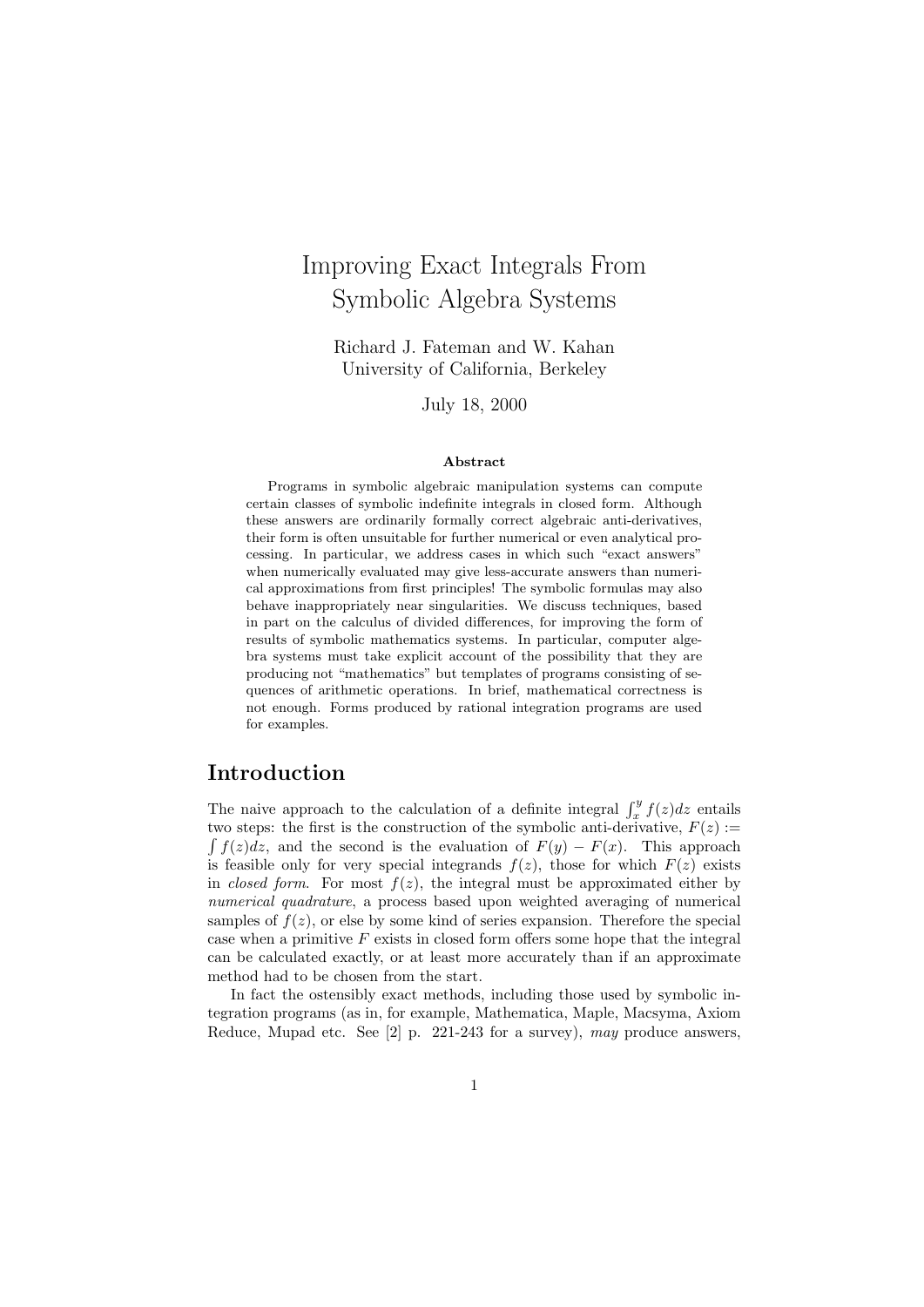# Improving Exact Integrals From Symbolic Algebra Systems

Richard J. Fateman and W. Kahan University of California, Berkeley

July 18, 2000

#### Abstract

Programs in symbolic algebraic manipulation systems can compute certain classes of symbolic indefinite integrals in closed form. Although these answers are ordinarily formally correct algebraic anti-derivatives, their form is often unsuitable for further numerical or even analytical processing. In particular, we address cases in which such "exact answers" when numerically evaluated may give less-accurate answers than numerical approximations from first principles! The symbolic formulas may also behave inappropriately near singularities. We discuss techniques, based in part on the calculus of divided differences, for improving the form of results of symbolic mathematics systems. In particular, computer algebra systems must take explicit account of the possibility that they are producing not "mathematics" but templates of programs consisting of sequences of arithmetic operations. In brief, mathematical correctness is not enough. Forms produced by rational integration programs are used for examples.

# Introduction

The naive approach to the calculation of a definite integral  $\int_x^y f(z)dz$  entails two steps: the first is the construction of the symbolic anti-derivative,  $F(z)$ :  $\int f(z)dz$ , and the second is the evaluation of  $F(y) - F(x)$ . This approach is feasible only for very special integrands  $f(z)$ , those for which  $F(z)$  exists in closed form. For most  $f(z)$ , the integral must be approximated either by numerical quadrature, a process based upon weighted averaging of numerical samples of  $f(z)$ , or else by some kind of series expansion. Therefore the special case when a primitive  $F$  exists in closed form offers some hope that the integral can be calculated exactly, or at least more accurately than if an approximate method had to be chosen from the start.

In fact the ostensibly exact methods, including those used by symbolic integration programs (as in, for example, Mathematica, Maple, Macsyma, Axiom Reduce, Mupad etc. See  $[2]$  p. 221-243 for a survey), may produce answers.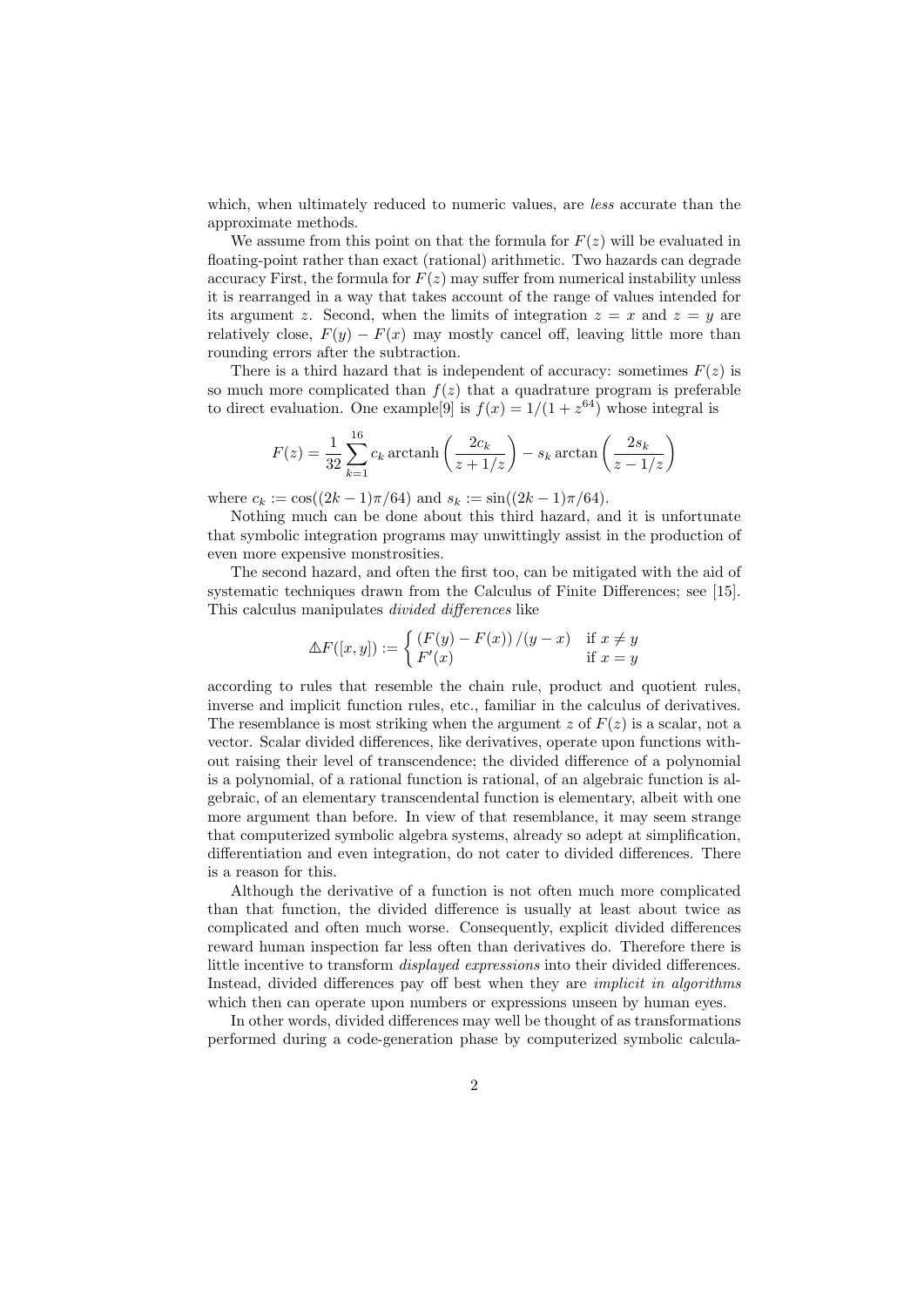which, when ultimately reduced to numeric values, are *less* accurate than the approximate methods.

We assume from this point on that the formula for  $F(z)$  will be evaluated in floating-point rather than exact (rational) arithmetic. Two hazards can degrade accuracy First, the formula for  $F(z)$  may suffer from numerical instability unless it is rearranged in a way that takes account of the range of values intended for its argument z. Second, when the limits of integration  $z = x$  and  $z = y$  are relatively close,  $F(y) - F(x)$  may mostly cancel off, leaving little more than rounding errors after the subtraction.

There is a third hazard that is independent of accuracy: sometimes  $F(z)$  is so much more complicated than  $f(z)$  that a quadrature program is preferable to direct evaluation. One example<sup>[9]</sup> is  $f(x) = 1/(1 + z^{64})$  whose integral is

$$
F(z) = \frac{1}{32} \sum_{k=1}^{16} c_k \operatorname{arctanh}\left(\frac{2c_k}{z + 1/z}\right) - s_k \operatorname{arctan}\left(\frac{2s_k}{z - 1/z}\right)
$$

where  $c_k := \cos((2k-1)\pi/64)$  and  $s_k := \sin((2k-1)\pi/64)$ .

Nothing much can be done about this third hazard, and it is unfortunate that symbolic integration programs may unwittingly assist in the production of even more expensive monstrosities.

The second hazard, and often the first too, can be mitigated with the aid of systematic techniques drawn from the Calculus of Finite Differences; see [15]. This calculus manipulates divided differences like

$$
\Delta F([x, y]) := \begin{cases} (F(y) - F(x))/(y - x) & \text{if } x \neq y \\ F'(x) & \text{if } x = y \end{cases}
$$

according to rules that resemble the chain rule, product and quotient rules, inverse and implicit function rules, etc., familiar in the calculus of derivatives. The resemblance is most striking when the argument z of  $F(z)$  is a scalar, not a vector. Scalar divided differences, like derivatives, operate upon functions without raising their level of transcendence; the divided difference of a polynomial is a polynomial, of a rational function is rational, of an algebraic function is algebraic, of an elementary transcendental function is elementary, albeit with one more argument than before. In view of that resemblance, it may seem strange that computerized symbolic algebra systems, already so adept at simplification, differentiation and even integration, do not cater to divided differences. There is a reason for this.

Although the derivative of a function is not often much more complicated than that function, the divided difference is usually at least about twice as complicated and often much worse. Consequently, explicit divided differences reward human inspection far less often than derivatives do. Therefore there is little incentive to transform displayed expressions into their divided differences. Instead, divided differences pay off best when they are implicit in algorithms which then can operate upon numbers or expressions unseen by human eyes.

In other words, divided differences may well be thought of as transformations performed during a code-generation phase by computerized symbolic calcula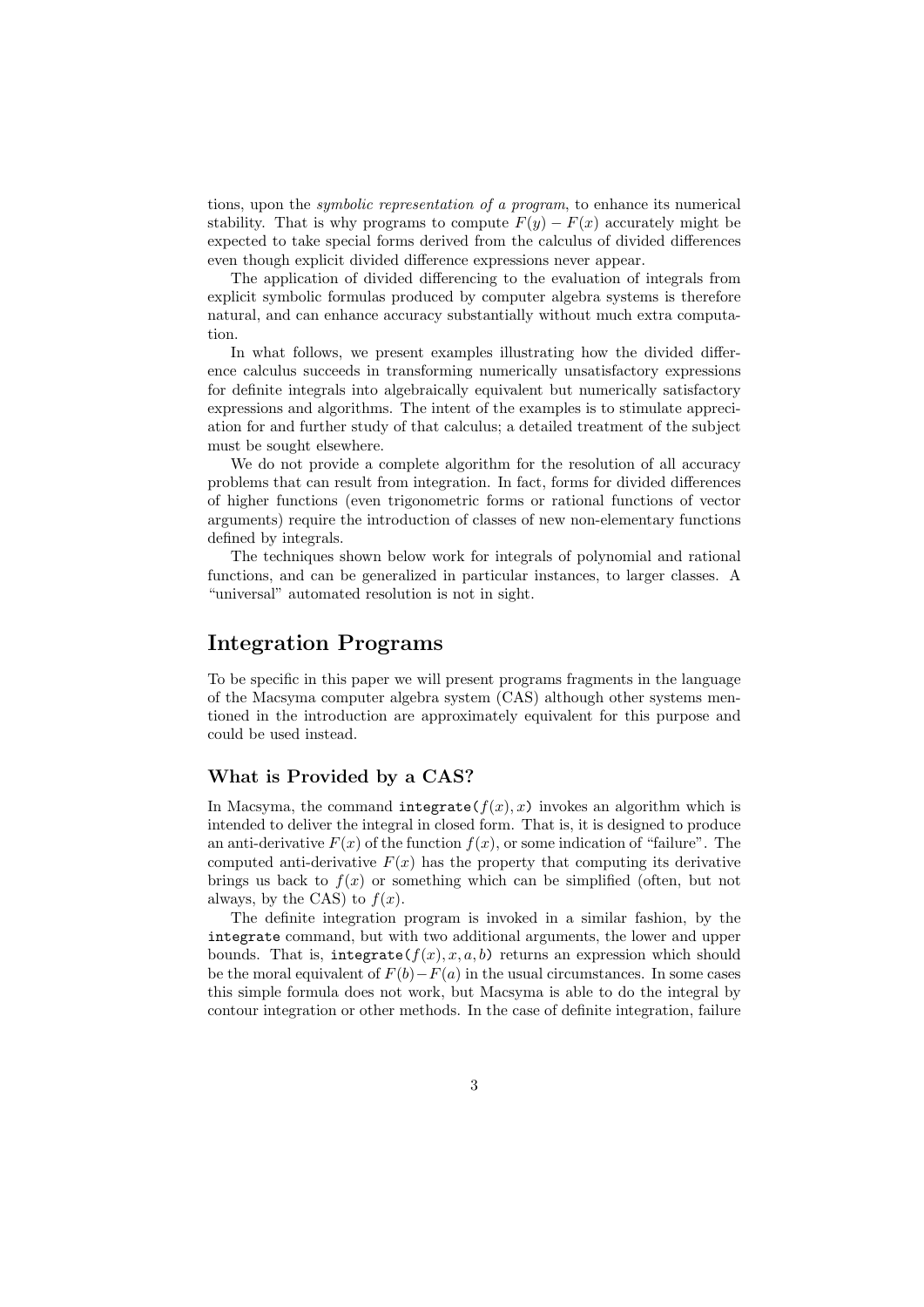tions, upon the symbolic representation of a program, to enhance its numerical stability. That is why programs to compute  $F(y) - F(x)$  accurately might be expected to take special forms derived from the calculus of divided differences even though explicit divided difference expressions never appear.

The application of divided differencing to the evaluation of integrals from explicit symbolic formulas produced by computer algebra systems is therefore natural, and can enhance accuracy substantially without much extra computation.

In what follows, we present examples illustrating how the divided difference calculus succeeds in transforming numerically unsatisfactory expressions for definite integrals into algebraically equivalent but numerically satisfactory expressions and algorithms. The intent of the examples is to stimulate appreciation for and further study of that calculus; a detailed treatment of the subject must be sought elsewhere.

We do not provide a complete algorithm for the resolution of all accuracy problems that can result from integration. In fact, forms for divided differences of higher functions (even trigonometric forms or rational functions of vector arguments) require the introduction of classes of new non-elementary functions defined by integrals.

The techniques shown below work for integrals of polynomial and rational functions, and can be generalized in particular instances, to larger classes. A "universal" automated resolution is not in sight.

### Integration Programs

To be specific in this paper we will present programs fragments in the language of the Macsyma computer algebra system (CAS) although other systems mentioned in the introduction are approximately equivalent for this purpose and could be used instead.

### What is Provided by a CAS?

In Macsyma, the command integrate( $f(x)$ , x) invokes an algorithm which is intended to deliver the integral in closed form. That is, it is designed to produce an anti-derivative  $F(x)$  of the function  $f(x)$ , or some indication of "failure". The computed anti-derivative  $F(x)$  has the property that computing its derivative brings us back to  $f(x)$  or something which can be simplified (often, but not always, by the CAS) to  $f(x)$ .

The definite integration program is invoked in a similar fashion, by the integrate command, but with two additional arguments, the lower and upper bounds. That is, integrate( $f(x)$ , x, a, b) returns an expression which should be the moral equivalent of  $F(b) - F(a)$  in the usual circumstances. In some cases this simple formula does not work, but Macsyma is able to do the integral by contour integration or other methods. In the case of definite integration, failure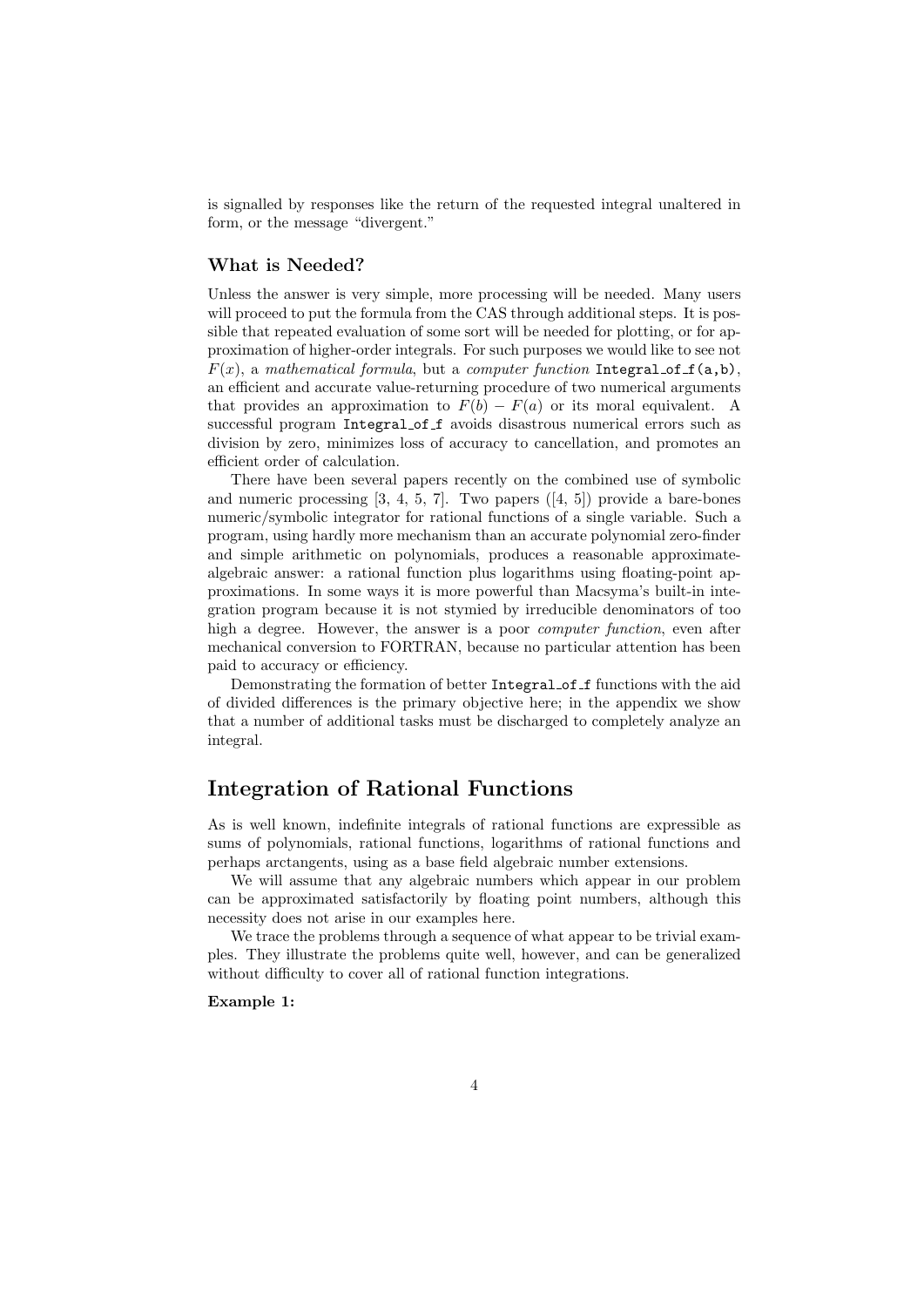is signalled by responses like the return of the requested integral unaltered in form, or the message "divergent."

### What is Needed?

Unless the answer is very simple, more processing will be needed. Many users will proceed to put the formula from the CAS through additional steps. It is possible that repeated evaluation of some sort will be needed for plotting, or for approximation of higher-order integrals. For such purposes we would like to see not  $F(x)$ , a mathematical formula, but a computer function Integral of  $f(a,b)$ , an efficient and accurate value-returning procedure of two numerical arguments that provides an approximation to  $F(b) - F(a)$  or its moral equivalent. A successful program Integral of f avoids disastrous numerical errors such as division by zero, minimizes loss of accuracy to cancellation, and promotes an efficient order of calculation.

There have been several papers recently on the combined use of symbolic and numeric processing  $[3, 4, 5, 7]$ . Two papers  $([4, 5])$  provide a bare-bones numeric/symbolic integrator for rational functions of a single variable. Such a program, using hardly more mechanism than an accurate polynomial zero-finder and simple arithmetic on polynomials, produces a reasonable approximatealgebraic answer: a rational function plus logarithms using floating-point approximations. In some ways it is more powerful than Macsyma's built-in integration program because it is not stymied by irreducible denominators of too high a degree. However, the answer is a poor computer function, even after mechanical conversion to FORTRAN, because no particular attention has been paid to accuracy or efficiency.

Demonstrating the formation of better Integral of functions with the aid of divided differences is the primary objective here; in the appendix we show that a number of additional tasks must be discharged to completely analyze an integral.

# Integration of Rational Functions

As is well known, indefinite integrals of rational functions are expressible as sums of polynomials, rational functions, logarithms of rational functions and perhaps arctangents, using as a base field algebraic number extensions.

We will assume that any algebraic numbers which appear in our problem can be approximated satisfactorily by floating point numbers, although this necessity does not arise in our examples here.

We trace the problems through a sequence of what appear to be trivial examples. They illustrate the problems quite well, however, and can be generalized without difficulty to cover all of rational function integrations.

### Example 1: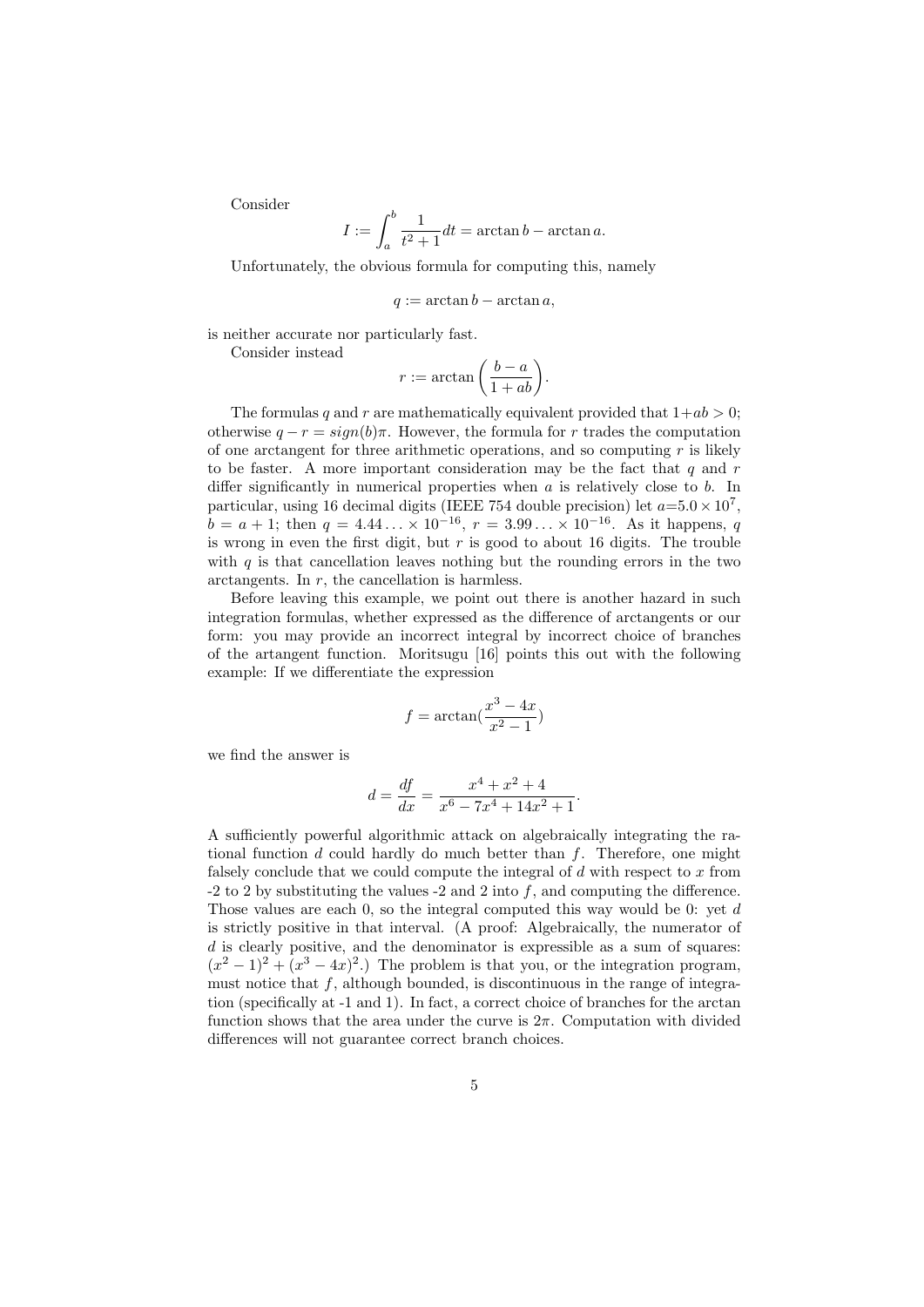Consider

$$
I := \int_{a}^{b} \frac{1}{t^2 + 1} dt = \arctan b - \arctan a.
$$

Unfortunately, the obvious formula for computing this, namely

$$
q := \arctan b - \arctan a,
$$

is neither accurate nor particularly fast.

Consider instead

$$
r := \arctan\left(\frac{b-a}{1+ab}\right).
$$

The formulas q and r are mathematically equivalent provided that  $1+ab > 0$ ; otherwise  $q - r = sign(b)\pi$ . However, the formula for r trades the computation of one arctangent for three arithmetic operations, and so computing  $r$  is likely to be faster. A more important consideration may be the fact that  $q$  and  $r$ differ significantly in numerical properties when  $a$  is relatively close to  $b$ . In particular, using 16 decimal digits (IEEE 754 double precision) let  $a=5.0 \times 10^7$ ,  $\vec{b} = a + 1$ ; then  $q = 4.44... \times 10^{-16}$ ,  $r = 3.99... \times 10^{-16}$ . As it happens, q is wrong in even the first digit, but  $r$  is good to about 16 digits. The trouble with  $q$  is that cancellation leaves nothing but the rounding errors in the two arctangents. In r, the cancellation is harmless.

Before leaving this example, we point out there is another hazard in such integration formulas, whether expressed as the difference of arctangents or our form: you may provide an incorrect integral by incorrect choice of branches of the artangent function. Moritsugu [16] points this out with the following example: If we differentiate the expression

$$
f = \arctan(\frac{x^3 - 4x}{x^2 - 1})
$$

we find the answer is

$$
d = \frac{df}{dx} = \frac{x^4 + x^2 + 4}{x^6 - 7x^4 + 14x^2 + 1}.
$$

A sufficiently powerful algorithmic attack on algebraically integrating the rational function  $d$  could hardly do much better than  $f$ . Therefore, one might falsely conclude that we could compute the integral of  $d$  with respect to  $x$  from  $-2$  to 2 by substituting the values  $-2$  and 2 into f, and computing the difference. Those values are each 0, so the integral computed this way would be 0: yet d is strictly positive in that interval. (A proof: Algebraically, the numerator of  $d$  is clearly positive, and the denominator is expressible as a sum of squares:  $(x^{2}-1)^{2} + (x^{3}-4x)^{2}$ .) The problem is that you, or the integration program, must notice that  $f$ , although bounded, is discontinuous in the range of integration (specifically at -1 and 1). In fact, a correct choice of branches for the arctan function shows that the area under the curve is  $2\pi$ . Computation with divided differences will not guarantee correct branch choices.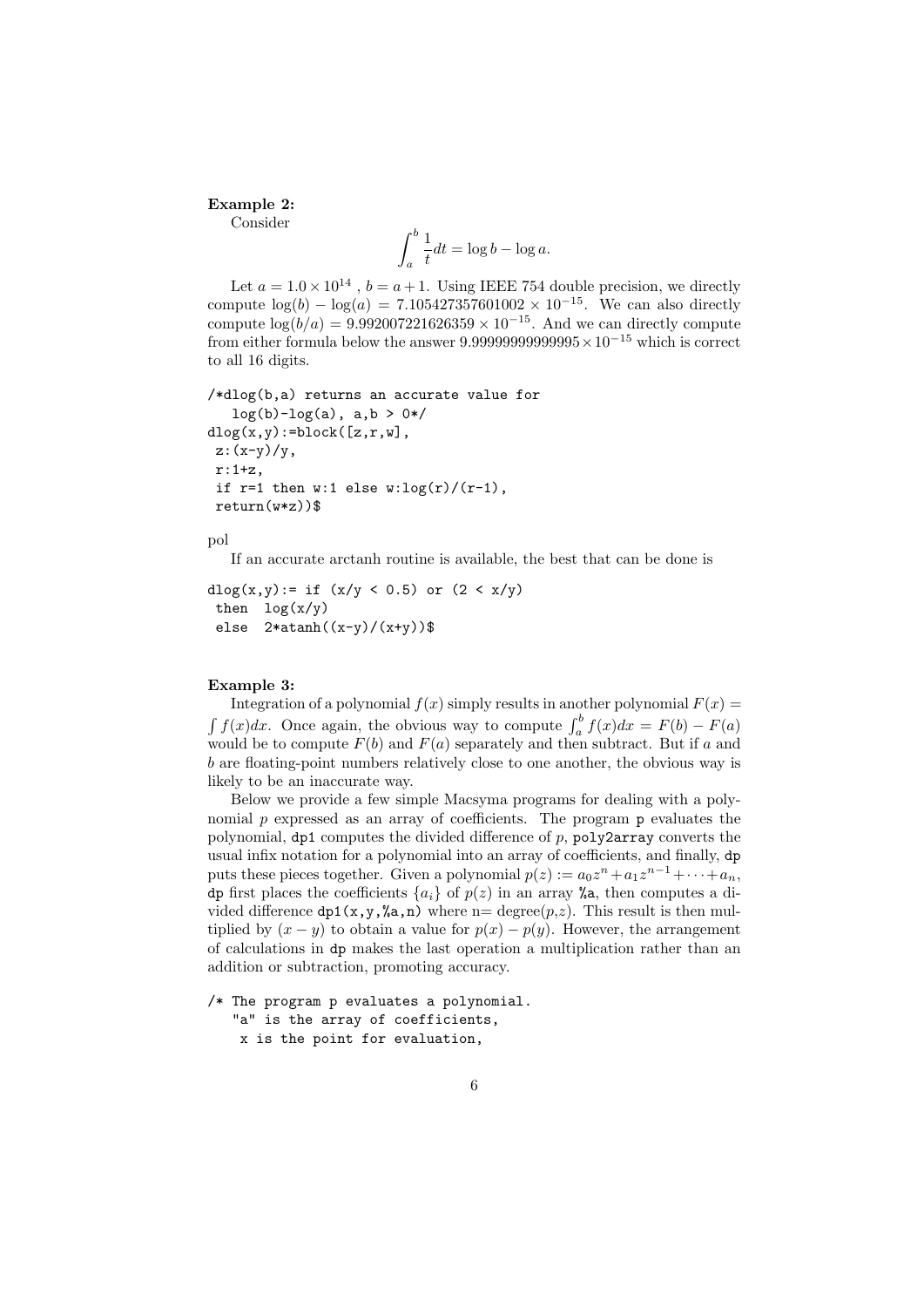#### Example 2:

Consider

$$
\int_{a}^{b} \frac{1}{t} dt = \log b - \log a.
$$

Let  $a = 1.0 \times 10^{14}$ ,  $b = a + 1$ . Using IEEE 754 double precision, we directly compute  $\log(b) - \log(a) = 7.105427357601002 \times 10^{-15}$ . We can also directly compute  $\log(b/a) = 9.992007221626359 \times 10^{-15}$ . And we can directly compute from either formula below the answer  $9.9999999999995\times10^{-15}$  which is correct to all 16 digits.

```
/*dlog(b,a) returns an accurate value for
   log(b) - log(a), a, b > 0*/dlog(x, y):=block([z, r, w],
 z:(x-y)/y,
 r:1+z,
 if r=1 then w:1 else w:log(r)/(r-1),
 return(w*z))$
```
pol

If an accurate arctanh routine is available, the best that can be done is

```
dlog(x,y):= if (x/y < 0.5) or (2 < x/y)
 then log(x/y)else 2*atanh((x-y)/(x+y))$
```
#### Example 3:

Integration of a polynomial  $f(x)$  simply results in another polynomial  $F(x) =$  $\int f(x)dx$ . Once again, the obvious way to compute  $\int_a^b f(x)dx = F(b) - F(a)$ would be to compute  $F(b)$  and  $F(a)$  separately and then subtract. But if a and b are floating-point numbers relatively close to one another, the obvious way is likely to be an inaccurate way.

Below we provide a few simple Macsyma programs for dealing with a polynomial  $p$  expressed as an array of coefficients. The program  $p$  evaluates the polynomial,  $dp1$  computes the divided difference of  $p$ ,  $p0ly2array$  converts the usual infix notation for a polynomial into an array of coefficients, and finally, dp puts these pieces together. Given a polynomial  $p(z) := a_0 z^n + a_1 z^{n-1} + \cdots + a_n$ , dp first places the coefficients  $\{a_i\}$  of  $p(z)$  in an array %, then computes a divided difference  $dp1(x,y,\alpha,n)$  where n= degree( $p,z$ ). This result is then multiplied by  $(x - y)$  to obtain a value for  $p(x) - p(y)$ . However, the arrangement of calculations in dp makes the last operation a multiplication rather than an addition or subtraction, promoting accuracy.

```
/* The program p evaluates a polynomial.
   "a" is the array of coefficients,
   x is the point for evaluation,
```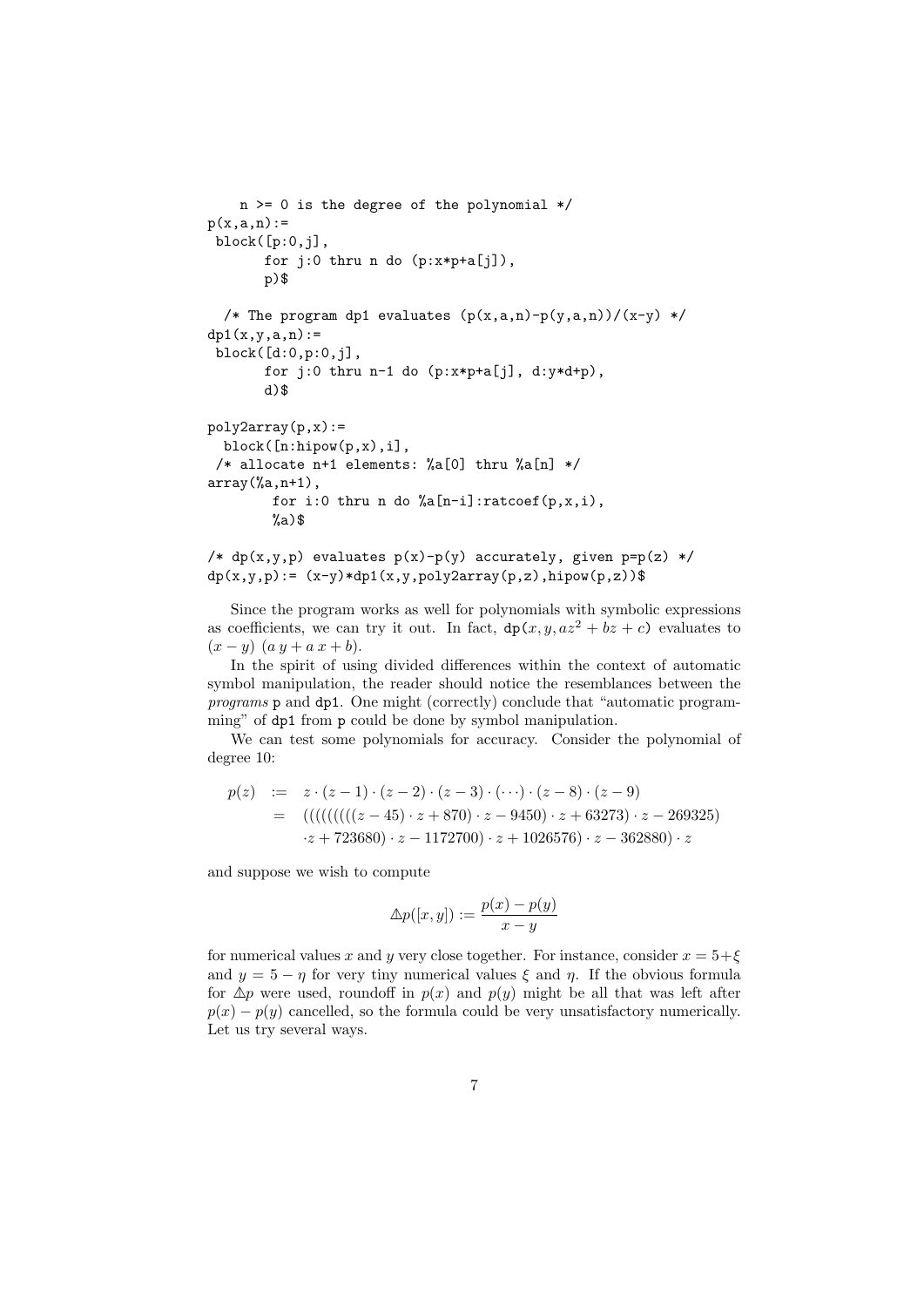```
n >= 0 is the degree of the polynomial */p(x,a,n):=block([p:0,j],
       for j:0 thru n do (p:x*p+a[j]),
       p)$
  /* The program dp1 evaluates (p(x,a,n)-p(y,a,n))/(x-y) */
dpl(x,v,a,n) :=block([d:0,p:0,j],
       for j:0 thru n-1 do (p:x*p+a[j], d:y*d+p),
       d)$
poly2array(p,x):=block([n:hipow(p,x),i],
 /* allocate n+1 elements: %a[0] thru %a[n] */
array(%a,n+1),
        for i:0 thru n do \lambdaa[n-i]:ratcoef(p,x,i),
        %a)$
```
/\*  $dp(x,y,p)$  evaluates  $p(x)-p(y)$  accurately, given  $p=p(z)$  \*/  $dp(x,y,p): = (x-y)*dp1(x,y,poly2array(p,z),hipow(p,z))$ \$

Since the program works as well for polynomials with symbolic expressions as coefficients, we can try it out. In fact,  $dp(x, y, az^2 + bz + c)$  evaluates to  $(x - y)$   $(a y + a x + b)$ .

In the spirit of using divided differences within the context of automatic symbol manipulation, the reader should notice the resemblances between the programs p and dp1. One might (correctly) conclude that "automatic programming" of dp1 from p could be done by symbol manipulation.

We can test some polynomials for accuracy. Consider the polynomial of degree 10:

$$
p(z) := z \cdot (z-1) \cdot (z-2) \cdot (z-3) \cdot (\cdots) \cdot (z-8) \cdot (z-9)
$$
  
= 
$$
((((((((z-45) \cdot z + 870) \cdot z - 9450) \cdot z + 63273) \cdot z - 269325)
$$
  

$$
\cdot z + 723680) \cdot z - 1172700) \cdot z + 1026576) \cdot z - 362880) \cdot z
$$

and suppose we wish to compute

$$
\Delta p([x, y]) := \frac{p(x) - p(y)}{x - y}
$$

for numerical values x and y very close together. For instance, consider  $x = 5+\xi$ and  $y = 5 - \eta$  for very tiny numerical values  $\xi$  and  $\eta$ . If the obvious formula for  $\Delta p$  were used, roundoff in  $p(x)$  and  $p(y)$  might be all that was left after  $p(x) - p(y)$  cancelled, so the formula could be very unsatisfactory numerically. Let us try several ways.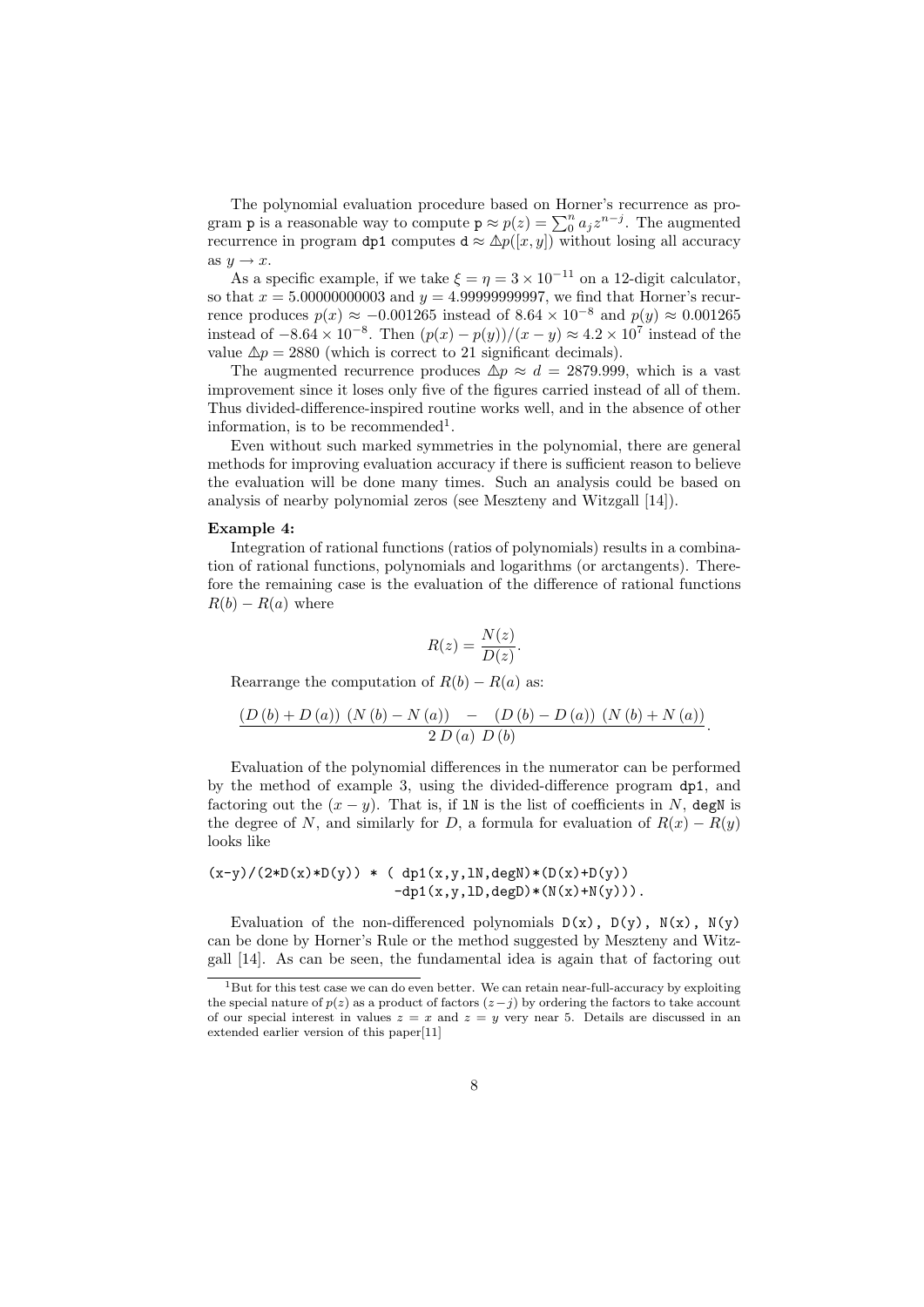The polynomial evaluation procedure based on Horner's recurrence as program **p** is a reasonable way to compute  $p \approx p(z) = \sum_{i=0}^{n} a_i z^{n-j}$ . The augmented recurrence in program dp1 computes  $d \approx \Delta p([x, y])$  without losing all accuracy as  $y \rightarrow x$ .

As a specific example, if we take  $\xi = \eta = 3 \times 10^{-11}$  on a 12-digit calculator. so that  $x = 5.00000000003$  and  $y = 4.99999999997$ , we find that Horner's recurrence produces  $p(x) \approx -0.001265$  instead of  $8.64 \times 10^{-8}$  and  $p(y) \approx 0.001265$ instead of  $-8.64 \times 10^{-8}$ . Then  $(p(x) - p(y))/(x - y) \approx 4.2 \times 10^{7}$  instead of the value  $\Delta p = 2880$  (which is correct to 21 significant decimals).

The augmented recurrence produces  $\Delta p \approx d = 2879.999$ , which is a vast improvement since it loses only five of the figures carried instead of all of them. Thus divided-difference-inspired routine works well, and in the absence of other information, is to be recommended<sup>1</sup>.

Even without such marked symmetries in the polynomial, there are general methods for improving evaluation accuracy if there is sufficient reason to believe the evaluation will be done many times. Such an analysis could be based on analysis of nearby polynomial zeros (see Meszteny and Witzgall [14]).

#### Example 4:

Integration of rational functions (ratios of polynomials) results in a combination of rational functions, polynomials and logarithms (or arctangents). Therefore the remaining case is the evaluation of the difference of rational functions  $R(b) - R(a)$  where

$$
R(z) = \frac{N(z)}{D(z)}.
$$

Rearrange the computation of  $R(b) - R(a)$  as:

$$
\frac{\left(D\left(b\right)+D\left(a\right)\right)\,\left(N\left(b\right)-N\left(a\right)\right)\;\;-\;\;\left(D\left(b\right)-D\left(a\right)\right)\,\left(N\left(b\right)+N\left(a\right)\right)}{2\,D\left(a\right)\,D\left(b\right)}.
$$

Evaluation of the polynomial differences in the numerator can be performed by the method of example 3, using the divided-difference program dp1, and factoring out the  $(x - y)$ . That is, if 1N is the list of coefficients in N, degN is the degree of N, and similarly for D, a formula for evaluation of  $R(x) - R(y)$ looks like

 $(x-y)/(2*D(x)*D(y)) * ( dp1(x,y,1N,degN)*(D(x)+D(y))$  $-dp1(x,y,1D,degD)*(N(x)+N(y))$ .

Evaluation of the non-differenced polynomials  $D(x)$ ,  $D(y)$ ,  $N(x)$ ,  $N(y)$ can be done by Horner's Rule or the method suggested by Meszteny and Witzgall [14]. As can be seen, the fundamental idea is again that of factoring out

<sup>&</sup>lt;sup>1</sup>But for this test case we can do even better. We can retain near-full-accuracy by exploiting the special nature of  $p(z)$  as a product of factors  $(z - j)$  by ordering the factors to take account of our special interest in values  $z = x$  and  $z = y$  very near 5. Details are discussed in an extended earlier version of this paper[11]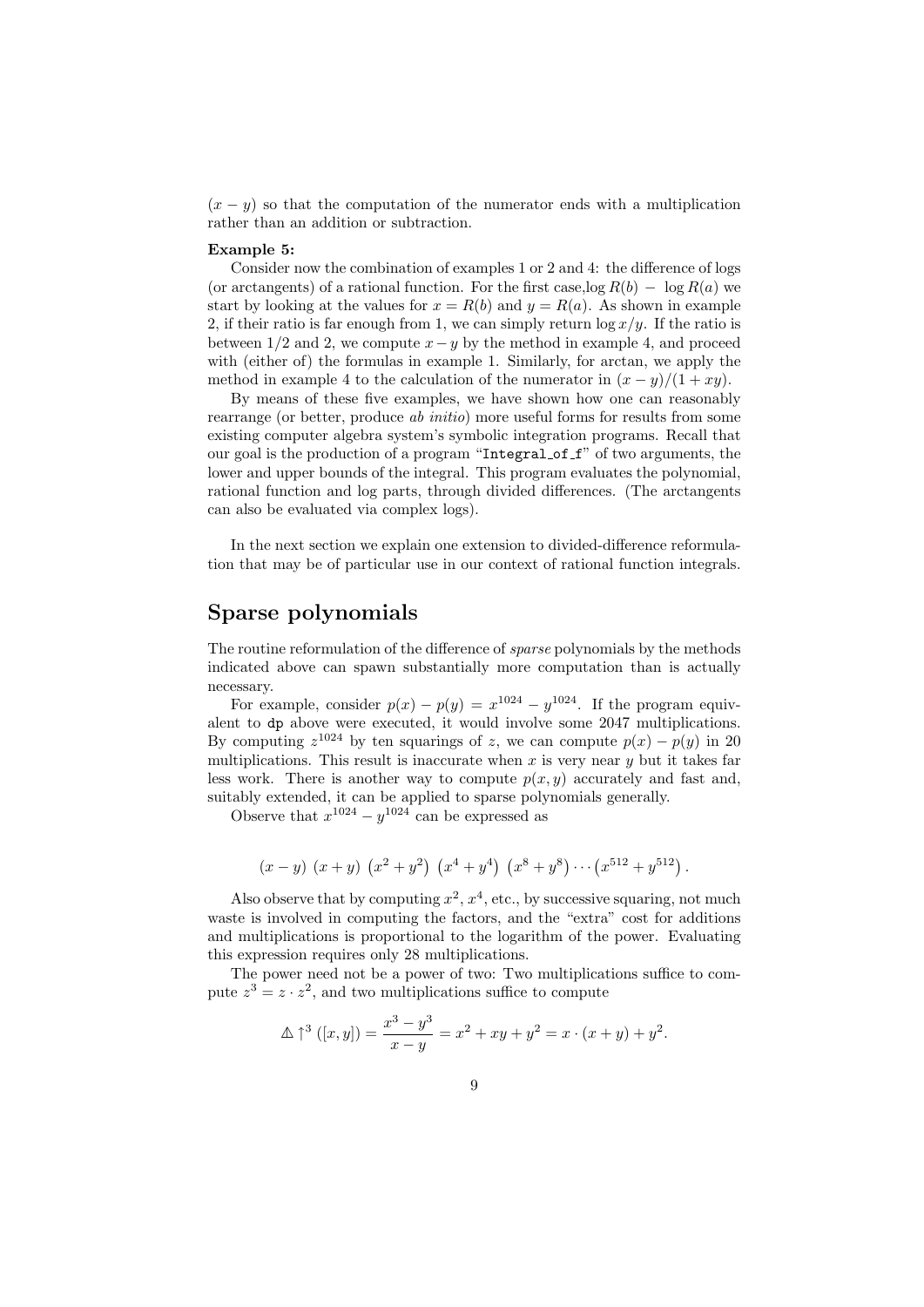$(x - y)$  so that the computation of the numerator ends with a multiplication rather than an addition or subtraction.

#### Example 5:

Consider now the combination of examples 1 or 2 and 4: the difference of logs (or arctangents) of a rational function. For the first case,  $\log R(b) - \log R(a)$  we start by looking at the values for  $x = R(b)$  and  $y = R(a)$ . As shown in example 2, if their ratio is far enough from 1, we can simply return  $\log x/y$ . If the ratio is between  $1/2$  and 2, we compute  $x-y$  by the method in example 4, and proceed with (either of) the formulas in example 1. Similarly, for arctan, we apply the method in example 4 to the calculation of the numerator in  $(x - y)/(1 + xy)$ .

By means of these five examples, we have shown how one can reasonably rearrange (or better, produce ab initio) more useful forms for results from some existing computer algebra system's symbolic integration programs. Recall that our goal is the production of a program "Integral of f" of two arguments, the lower and upper bounds of the integral. This program evaluates the polynomial, rational function and log parts, through divided differences. (The arctangents can also be evaluated via complex logs).

In the next section we explain one extension to divided-difference reformulation that may be of particular use in our context of rational function integrals.

# Sparse polynomials

The routine reformulation of the difference of *sparse* polynomials by the methods indicated above can spawn substantially more computation than is actually necessary.

For example, consider  $p(x) - p(y) = x^{1024} - y^{1024}$ . If the program equivalent to dp above were executed, it would involve some 2047 multiplications. By computing  $z^{1024}$  by ten squarings of z, we can compute  $p(x) - p(y)$  in 20 multiplications. This result is inaccurate when  $x$  is very near  $y$  but it takes far less work. There is another way to compute  $p(x, y)$  accurately and fast and, suitably extended, it can be applied to sparse polynomials generally.

Observe that  $x^{1024} - y^{1024}$  can be expressed as

$$
(x-y)(x+y)(x^2+y^2)(x^4+y^4)(x^8+y^8)\cdots(x^{512}+y^{512}).
$$

Also observe that by computing  $x^2$ ,  $x^4$ , etc., by successive squaring, not much waste is involved in computing the factors, and the "extra" cost for additions and multiplications is proportional to the logarithm of the power. Evaluating this expression requires only 28 multiplications.

The power need not be a power of two: Two multiplications suffice to compute  $z^3 = z \cdot z^2$ , and two multiplications suffice to compute

$$
\Delta \uparrow^3 ([x, y]) = \frac{x^3 - y^3}{x - y} = x^2 + xy + y^2 = x \cdot (x + y) + y^2.
$$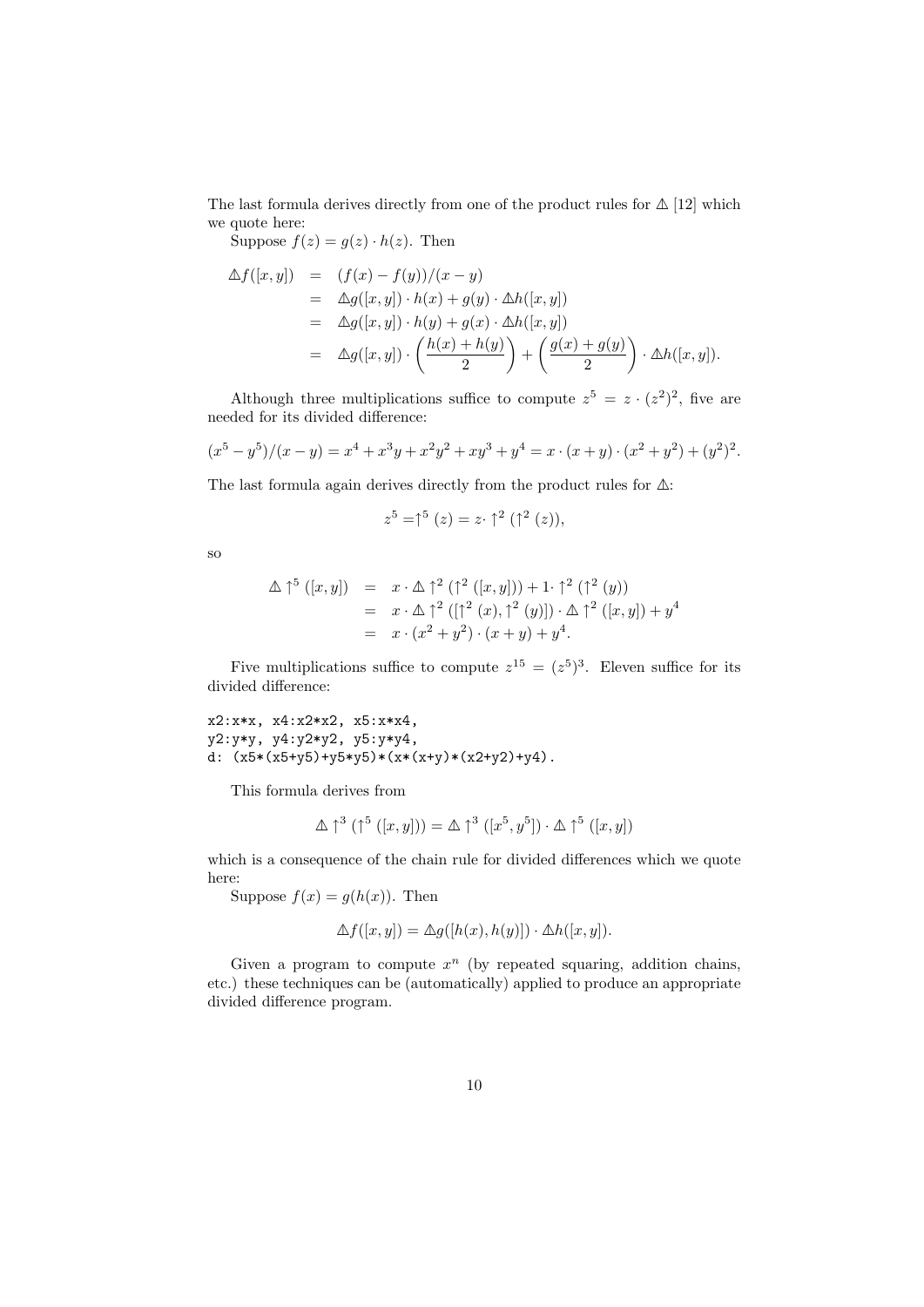The last formula derives directly from one of the product rules for  $\Delta$  [12] which we quote here:

Suppose  $f(z) = g(z) \cdot h(z)$ . Then

$$
\Delta f([x, y]) = (f(x) - f(y))/(x - y)
$$
\n
$$
= \Delta g([x, y]) \cdot h(x) + g(y) \cdot \Delta h([x, y])
$$
\n
$$
= \Delta g([x, y]) \cdot h(y) + g(x) \cdot \Delta h([x, y])
$$
\n
$$
= \Delta g([x, y]) \cdot \left(\frac{h(x) + h(y)}{2}\right) + \left(\frac{g(x) + g(y)}{2}\right) \cdot \Delta h([x, y]).
$$

Although three multiplications suffice to compute  $z^5 = z \cdot (z^2)^2$ , five are needed for its divided difference:

$$
(x5 - y5)/(x - y) = x4 + x3y + x2y2 + xy3 + y4 = x \cdot (x + y) \cdot (x2 + y2) + (y2)2.
$$

The last formula again derives directly from the product rules for  $\Delta$ :

$$
z^{5} = \uparrow^{5} (z) = z \cdot \uparrow^{2} (\uparrow^{2} (z)),
$$

so

$$
\Delta \uparrow^{5} ([x, y]) = x \cdot \Delta \uparrow^{2} (\uparrow^{2} ([x, y])) + 1 \cdot \uparrow^{2} (\uparrow^{2} (y))
$$
  
=  $x \cdot \Delta \uparrow^{2} ([\uparrow^{2} (x), \uparrow^{2} (y)]) \cdot \Delta \uparrow^{2} ([x, y]) + y^{4}$   
=  $x \cdot (x^{2} + y^{2}) \cdot (x + y) + y^{4}.$ 

Five multiplications suffice to compute  $z^{15} = (z^5)^3$ . Eleven suffice for its divided difference:

x2:x\*x, x4:x2\*x2, x5:x\*x4, y2:y\*y, y4:y2\*y2, y5:y\*y4, d:  $(x5*(x5+y5)+y5*y5)*(x*(x+y)*(x2+y2)+y4)$ .

This formula derives from

$$
\Delta \uparrow^3 (\uparrow^5 ([x, y])) = \Delta \uparrow^3 ([x^5, y^5]) \cdot \Delta \uparrow^5 ([x, y])
$$

which is a consequence of the chain rule for divided differences which we quote here:

Suppose  $f(x) = g(h(x))$ . Then

$$
\Delta f([x, y]) = \Delta g([h(x), h(y)]) \cdot \Delta h([x, y]).
$$

Given a program to compute  $x^n$  (by repeated squaring, addition chains, etc.) these techniques can be (automatically) applied to produce an appropriate divided difference program.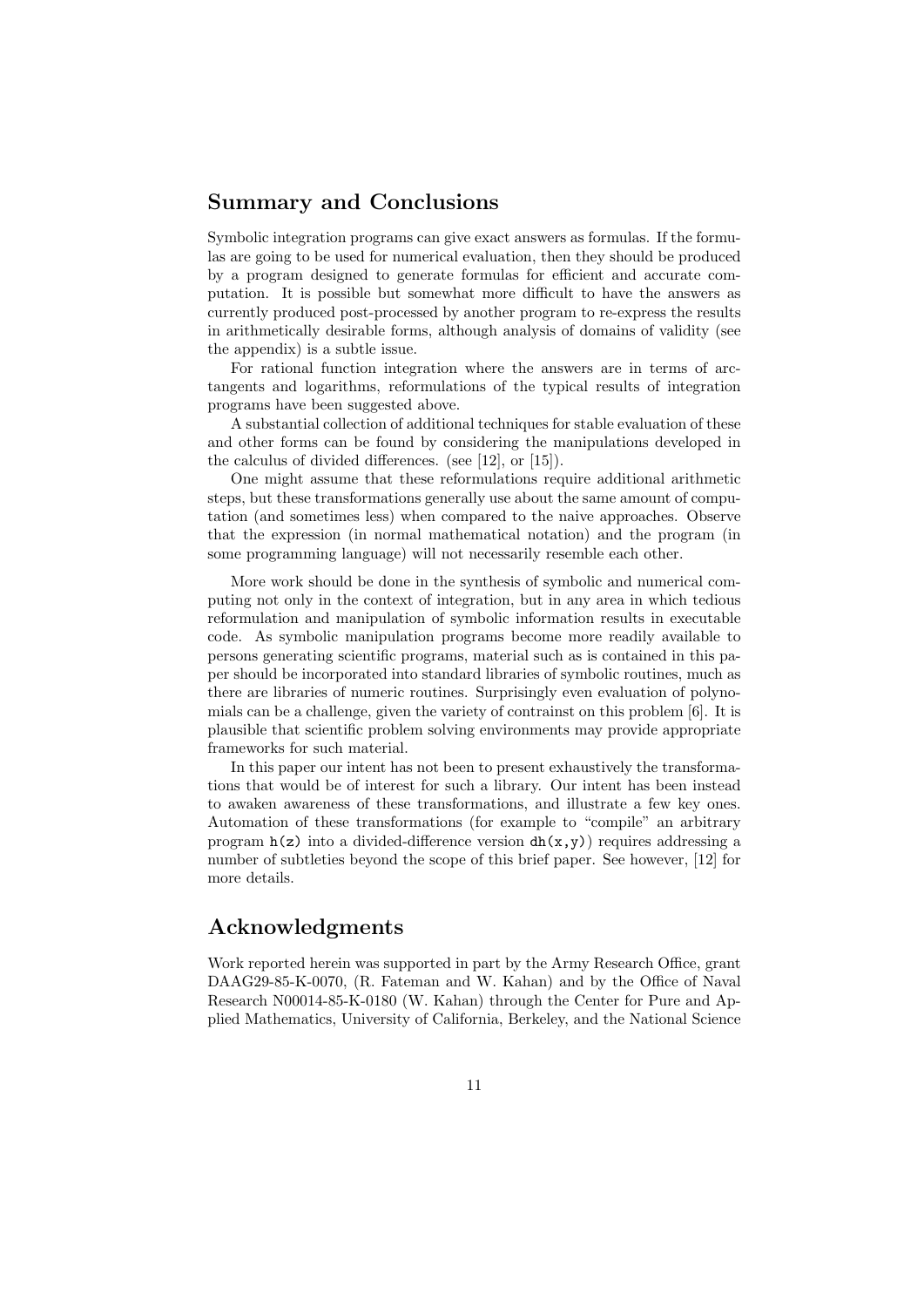## Summary and Conclusions

Symbolic integration programs can give exact answers as formulas. If the formulas are going to be used for numerical evaluation, then they should be produced by a program designed to generate formulas for efficient and accurate computation. It is possible but somewhat more difficult to have the answers as currently produced post-processed by another program to re-express the results in arithmetically desirable forms, although analysis of domains of validity (see the appendix) is a subtle issue.

For rational function integration where the answers are in terms of arctangents and logarithms, reformulations of the typical results of integration programs have been suggested above.

A substantial collection of additional techniques for stable evaluation of these and other forms can be found by considering the manipulations developed in the calculus of divided differences. (see [12], or [15]).

One might assume that these reformulations require additional arithmetic steps, but these transformations generally use about the same amount of computation (and sometimes less) when compared to the naive approaches. Observe that the expression (in normal mathematical notation) and the program (in some programming language) will not necessarily resemble each other.

More work should be done in the synthesis of symbolic and numerical computing not only in the context of integration, but in any area in which tedious reformulation and manipulation of symbolic information results in executable code. As symbolic manipulation programs become more readily available to persons generating scientific programs, material such as is contained in this paper should be incorporated into standard libraries of symbolic routines, much as there are libraries of numeric routines. Surprisingly even evaluation of polynomials can be a challenge, given the variety of contrainst on this problem [6]. It is plausible that scientific problem solving environments may provide appropriate frameworks for such material.

In this paper our intent has not been to present exhaustively the transformations that would be of interest for such a library. Our intent has been instead to awaken awareness of these transformations, and illustrate a few key ones. Automation of these transformations (for example to "compile" an arbitrary program  $h(z)$  into a divided-difference version  $dh(x,y)$  requires addressing a number of subtleties beyond the scope of this brief paper. See however, [12] for more details.

### Acknowledgments

Work reported herein was supported in part by the Army Research Office, grant DAAG29-85-K-0070, (R. Fateman and W. Kahan) and by the Office of Naval Research N00014-85-K-0180 (W. Kahan) through the Center for Pure and Applied Mathematics, University of California, Berkeley, and the National Science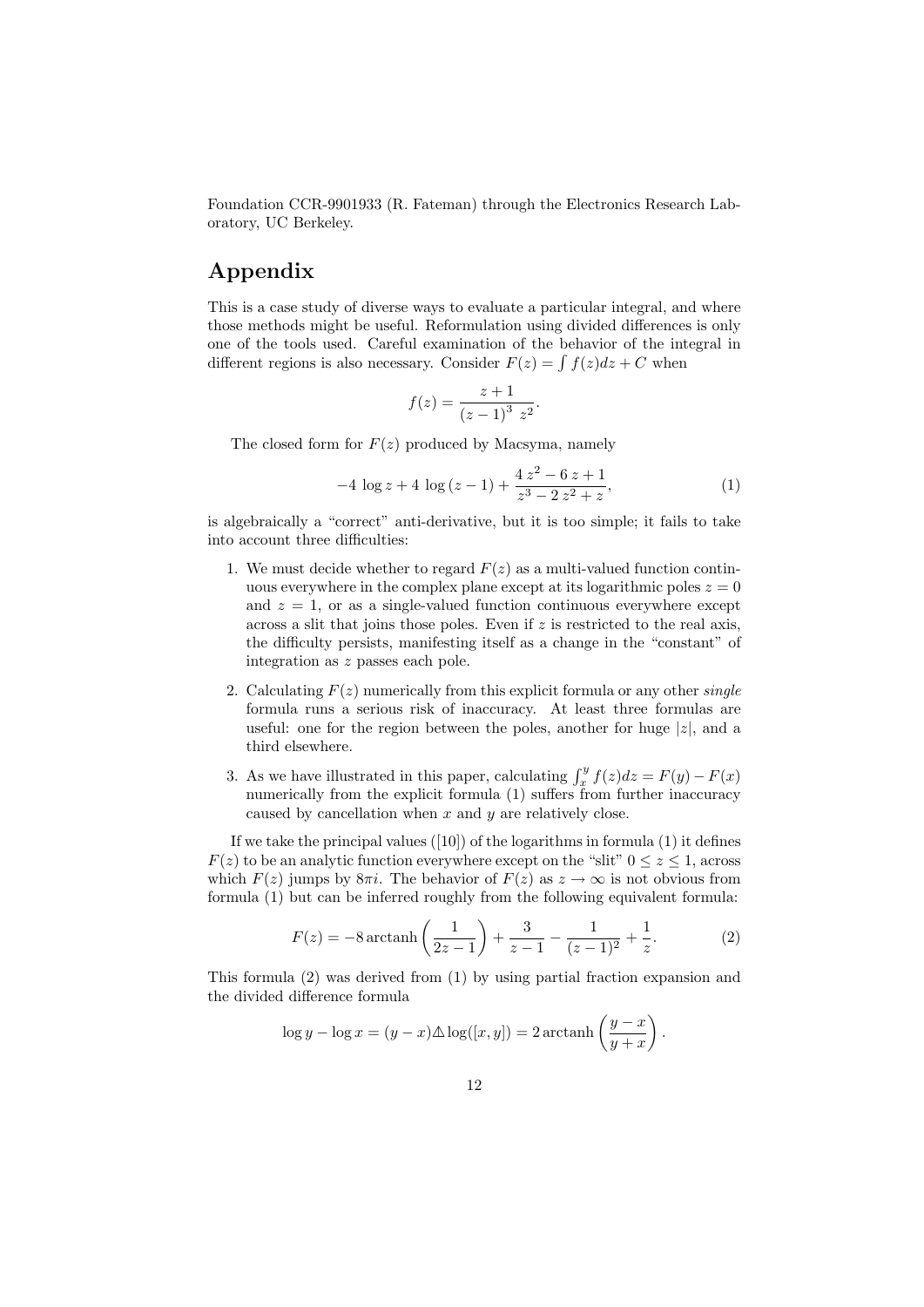Foundation CCR-9901933 (R. Fateman) through the Electronics Research Laboratory, UC Berkeley.

# Appendix

This is a case study of diverse ways to evaluate a particular integral, and where those methods might be useful. Reformulation using divided differences is only one of the tools used. Careful examination of the behavior of the integral in different regions is also necessary. Consider  $F(z) = \int f(z)dz + C$  when

$$
f(z) = \frac{z+1}{(z-1)^3 z^2}.
$$

The closed form for  $F(z)$  produced by Macsyma, namely

$$
-4 \log z + 4 \log (z - 1) + \frac{4 z^2 - 6 z + 1}{z^3 - 2 z^2 + z},
$$
\n(1)

is algebraically a "correct" anti-derivative, but it is too simple; it fails to take into account three difficulties:

- 1. We must decide whether to regard  $F(z)$  as a multi-valued function continuous everywhere in the complex plane except at its logarithmic poles  $z = 0$ and  $z = 1$ , or as a single-valued function continuous everywhere except across a slit that joins those poles. Even if  $z$  is restricted to the real axis, the difficulty persists, manifesting itself as a change in the "constant" of integration as z passes each pole.
- 2. Calculating  $F(z)$  numerically from this explicit formula or any other *single* formula runs a serious risk of inaccuracy. At least three formulas are useful: one for the region between the poles, another for huge  $|z|$ , and a third elsewhere.
- 3. As we have illustrated in this paper, calculating  $\int_x^y f(z)dz = F(y) F(x)$ numerically from the explicit formula (1) suffers from further inaccuracy caused by cancellation when  $x$  and  $y$  are relatively close.

If we take the principal values  $([10])$  of the logarithms in formula  $(1)$  it defines  $F(z)$  to be an analytic function everywhere except on the "slit"  $0 \le z \le 1$ , across which  $F(z)$  jumps by  $8\pi i$ . The behavior of  $F(z)$  as  $z \to \infty$  is not obvious from formula (1) but can be inferred roughly from the following equivalent formula:

$$
F(z) = -8 \arctanh\left(\frac{1}{2z - 1}\right) + \frac{3}{z - 1} - \frac{1}{(z - 1)^2} + \frac{1}{z}.
$$
 (2)

This formula (2) was derived from (1) by using partial fraction expansion and the divided difference formula

$$
\log y - \log x = (y - x) \Delta \log([x, y]) = 2 \arctanh \left( \frac{y - x}{y + x} \right).
$$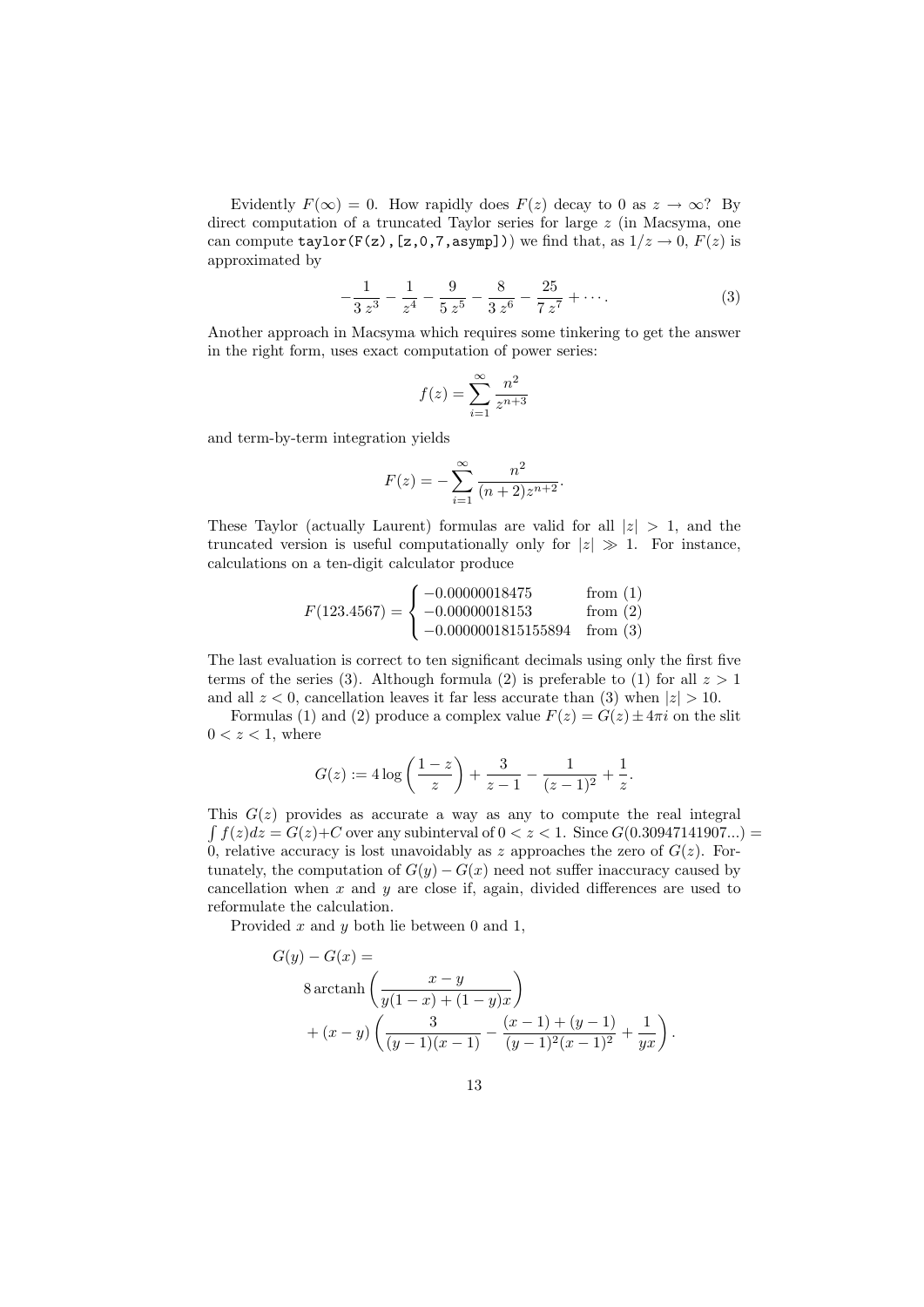Evidently  $F(\infty) = 0$ . How rapidly does  $F(z)$  decay to 0 as  $z \to \infty$ ? By direct computation of a truncated Taylor series for large  $z$  (in Macsyma, one can compute taylor(F(z), [z,0,7,asymp])) we find that, as  $1/z \rightarrow 0$ ,  $F(z)$  is approximated by

$$
-\frac{1}{3z^3} - \frac{1}{z^4} - \frac{9}{5z^5} - \frac{8}{3z^6} - \frac{25}{7z^7} + \cdots
$$
 (3)

Another approach in Macsyma which requires some tinkering to get the answer in the right form, uses exact computation of power series:

$$
f(z) = \sum_{i=1}^{\infty} \frac{n^2}{z^{n+3}}
$$

and term-by-term integration yields

$$
F(z) = -\sum_{i=1}^{\infty} \frac{n^2}{(n+2)z^{n+2}}.
$$

These Taylor (actually Laurent) formulas are valid for all  $|z| > 1$ , and the truncated version is useful computationally only for  $|z| \gg 1$ . For instance, calculations on a ten-digit calculator produce

$$
F(123.4567) = \begin{cases} -0.00000018475 & \text{from (1)}\\ -0.00000018153 & \text{from (2)}\\ -0.0000001815155894 & \text{from (3)} \end{cases}
$$

The last evaluation is correct to ten significant decimals using only the first five terms of the series (3). Although formula (2) is preferable to (1) for all  $z > 1$ and all  $z < 0$ , cancellation leaves it far less accurate than (3) when  $|z| > 10$ .

Formulas (1) and (2) produce a complex value  $F(z) = G(z) \pm 4\pi i$  on the slit  $0 < z < 1$ , where

$$
G(z) := 4 \log \left( \frac{1-z}{z} \right) + \frac{3}{z-1} - \frac{1}{(z-1)^2} + \frac{1}{z}.
$$

This  $G(z)$  provides as accurate a way as any to compute the real integral  $\int f(z)dz = G(z)+C$  over any subinterval of  $0 < z < 1$ . Since  $G(0.30947141907...)$ 0, relative accuracy is lost unavoidably as z approaches the zero of  $G(z)$ . Fortunately, the computation of  $G(y) - G(x)$  need not suffer inaccuracy caused by cancellation when  $x$  and  $y$  are close if, again, divided differences are used to reformulate the calculation.

Provided  $x$  and  $y$  both lie between 0 and 1,

$$
G(y) - G(x) =
$$
  
8 arctanh  $\left(\frac{x-y}{y(1-x) + (1-y)x}\right)$   
+  $(x-y)\left(\frac{3}{(y-1)(x-1)} - \frac{(x-1) + (y-1)}{(y-1)^2(x-1)^2} + \frac{1}{yx}\right)$ 

.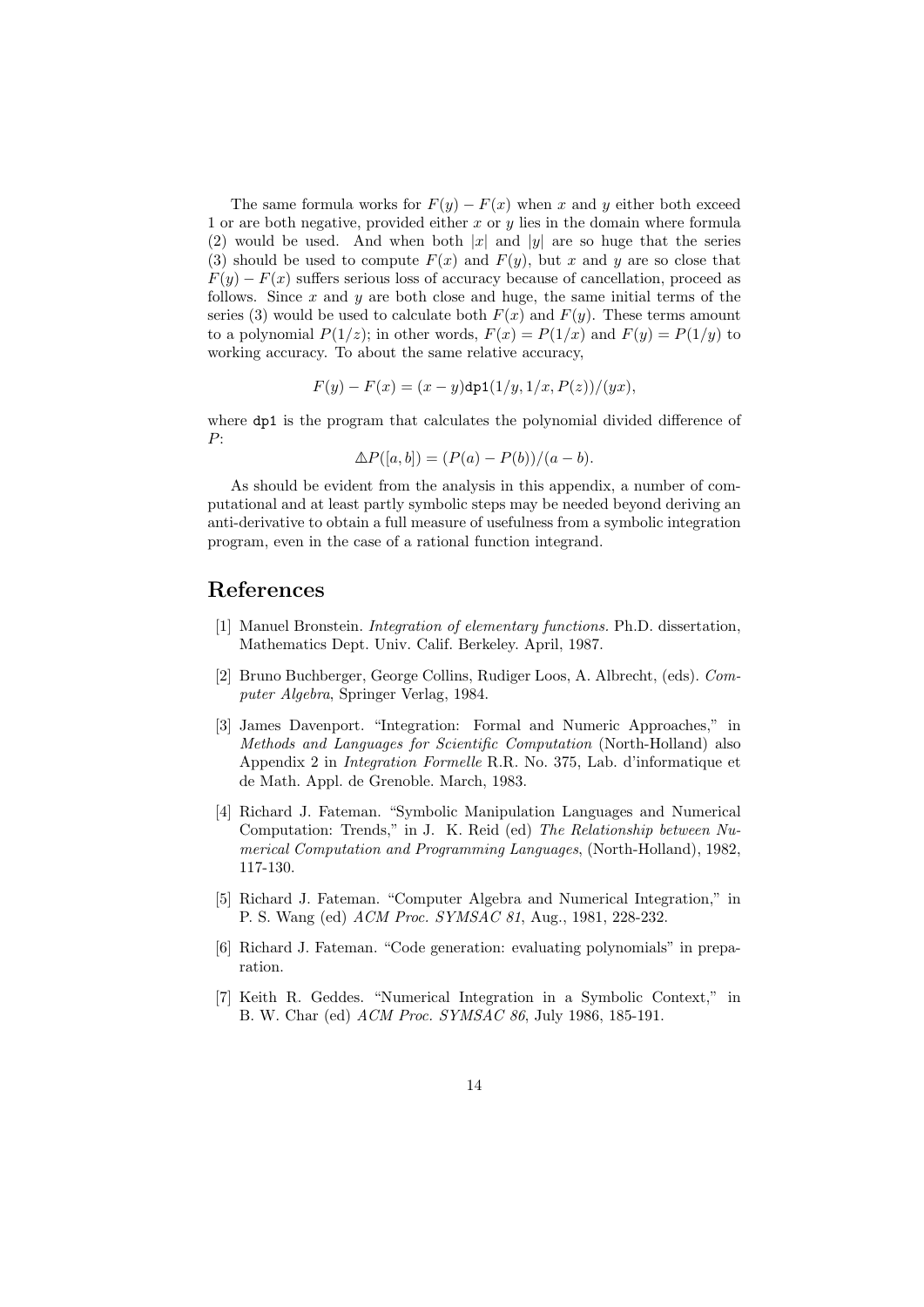The same formula works for  $F(y) - F(x)$  when x and y either both exceed 1 or are both negative, provided either  $x$  or  $y$  lies in the domain where formula (2) would be used. And when both  $|x|$  and  $|y|$  are so huge that the series (3) should be used to compute  $F(x)$  and  $F(y)$ , but x and y are so close that  $F(y) - F(x)$  suffers serious loss of accuracy because of cancellation, proceed as follows. Since  $x$  and  $y$  are both close and huge, the same initial terms of the series (3) would be used to calculate both  $F(x)$  and  $F(y)$ . These terms amount to a polynomial  $P(1/z)$ ; in other words,  $F(x) = P(1/x)$  and  $F(y) = P(1/y)$  to working accuracy. To about the same relative accuracy,

$$
F(y) - F(x) = (x - y) \text{dp1}(1/y, 1/x, P(z))/(yx),
$$

where  $dp1$  is the program that calculates the polynomial divided difference of P:

$$
\Delta P([a, b]) = (P(a) - P(b))/(a - b).
$$

As should be evident from the analysis in this appendix, a number of computational and at least partly symbolic steps may be needed beyond deriving an anti-derivative to obtain a full measure of usefulness from a symbolic integration program, even in the case of a rational function integrand.

### References

- [1] Manuel Bronstein. Integration of elementary functions. Ph.D. dissertation, Mathematics Dept. Univ. Calif. Berkeley. April, 1987.
- [2] Bruno Buchberger, George Collins, Rudiger Loos, A. Albrecht, (eds). Computer Algebra, Springer Verlag, 1984.
- [3] James Davenport. "Integration: Formal and Numeric Approaches," in Methods and Languages for Scientific Computation (North-Holland) also Appendix 2 in Integration Formelle R.R. No. 375, Lab. d'informatique et de Math. Appl. de Grenoble. March, 1983.
- [4] Richard J. Fateman. "Symbolic Manipulation Languages and Numerical Computation: Trends," in J. K. Reid (ed) The Relationship between Numerical Computation and Programming Languages, (North-Holland), 1982, 117-130.
- [5] Richard J. Fateman. "Computer Algebra and Numerical Integration," in P. S. Wang (ed) ACM Proc. SYMSAC 81, Aug., 1981, 228-232.
- [6] Richard J. Fateman. "Code generation: evaluating polynomials" in preparation.
- [7] Keith R. Geddes. "Numerical Integration in a Symbolic Context," in B. W. Char (ed) ACM Proc. SYMSAC 86, July 1986, 185-191.